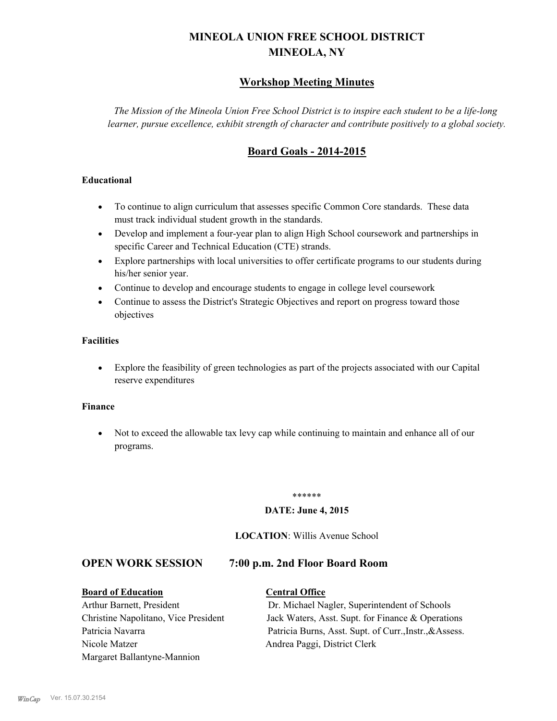# **MINEOLA UNION FREE SCHOOL DISTRICT MINEOLA, NY**

# **Workshop Meeting Minutes**

*The Mission of the Mineola Union Free School District is to inspire each student to be a life-long learner, pursue excellence, exhibit strength of character and contribute positively to a global society.*

# **Board Goals - 2014-2015**

### **Educational**

- · To continue to align curriculum that assesses specific Common Core standards. These data must track individual student growth in the standards.
- · Develop and implement a four-year plan to align High School coursework and partnerships in specific Career and Technical Education (CTE) strands.
- · Explore partnerships with local universities to offer certificate programs to our students during his/her senior year.
- · Continue to develop and encourage students to engage in college level coursework
- Continue to assess the District's Strategic Objectives and report on progress toward those objectives

#### **Facilities**

· Explore the feasibility of green technologies as part of the projects associated with our Capital reserve expenditures

#### **Finance**

· Not to exceed the allowable tax levy cap while continuing to maintain and enhance all of our programs.

#### \*\*\*\*\*\*

#### **DATE: June 4, 2015**

#### **LOCATION**: Willis Avenue School

### **OPEN WORK SESSION 7:00 p.m. 2nd Floor Board Room**

**Board of Education Central Office** Arthur Barnett, President Dr. Michael Nagler, Superintendent of Schools Christine Napolitano, Vice President Jack Waters, Asst. Supt. for Finance & Operations Patricia Navarra Patricia Burns, Asst. Supt. of Curr., Instr., & Assess. Nicole Matzer Andrea Paggi, District Clerk Margaret Ballantyne-Mannion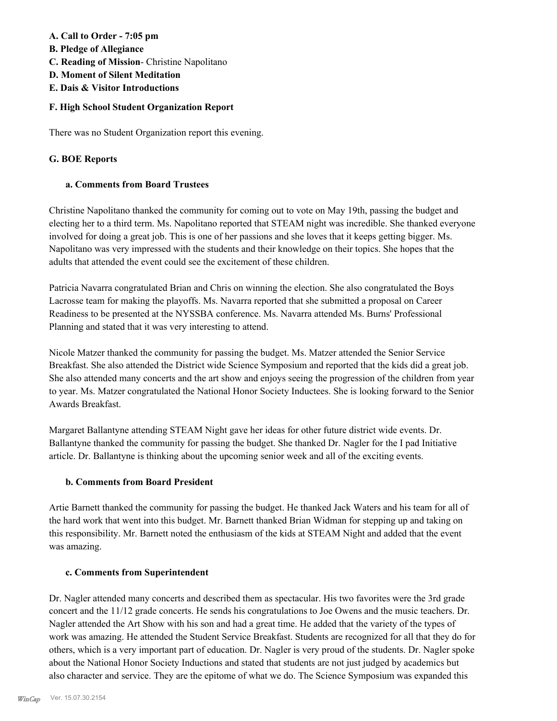## **A. Call to Order - 7:05 pm**

- **B. Pledge of Allegiance**
- **C. Reading of Mission** Christine Napolitano
- **D. Moment of Silent Meditation**
- **E. Dais & Visitor Introductions**

# **F. High School Student Organization Report**

There was no Student Organization report this evening.

# **G. BOE Reports**

## **a. Comments from Board Trustees**

Christine Napolitano thanked the community for coming out to vote on May 19th, passing the budget and electing her to a third term. Ms. Napolitano reported that STEAM night was incredible. She thanked everyone involved for doing a great job. This is one of her passions and she loves that it keeps getting bigger. Ms. Napolitano was very impressed with the students and their knowledge on their topics. She hopes that the adults that attended the event could see the excitement of these children.

Patricia Navarra congratulated Brian and Chris on winning the election. She also congratulated the Boys Lacrosse team for making the playoffs. Ms. Navarra reported that she submitted a proposal on Career Readiness to be presented at the NYSSBA conference. Ms. Navarra attended Ms. Burns' Professional Planning and stated that it was very interesting to attend.

Nicole Matzer thanked the community for passing the budget. Ms. Matzer attended the Senior Service Breakfast. She also attended the District wide Science Symposium and reported that the kids did a great job. She also attended many concerts and the art show and enjoys seeing the progression of the children from year to year. Ms. Matzer congratulated the National Honor Society Inductees. She is looking forward to the Senior Awards Breakfast.

Margaret Ballantyne attending STEAM Night gave her ideas for other future district wide events. Dr. Ballantyne thanked the community for passing the budget. She thanked Dr. Nagler for the I pad Initiative article. Dr. Ballantyne is thinking about the upcoming senior week and all of the exciting events.

#### **b. Comments from Board President**

Artie Barnett thanked the community for passing the budget. He thanked Jack Waters and his team for all of the hard work that went into this budget. Mr. Barnett thanked Brian Widman for stepping up and taking on this responsibility. Mr. Barnett noted the enthusiasm of the kids at STEAM Night and added that the event was amazing.

#### **c. Comments from Superintendent**

Dr. Nagler attended many concerts and described them as spectacular. His two favorites were the 3rd grade concert and the 11/12 grade concerts. He sends his congratulations to Joe Owens and the music teachers. Dr. Nagler attended the Art Show with his son and had a great time. He added that the variety of the types of work was amazing. He attended the Student Service Breakfast. Students are recognized for all that they do for others, which is a very important part of education. Dr. Nagler is very proud of the students. Dr. Nagler spoke about the National Honor Society Inductions and stated that students are not just judged by academics but also character and service. They are the epitome of what we do. The Science Symposium was expanded this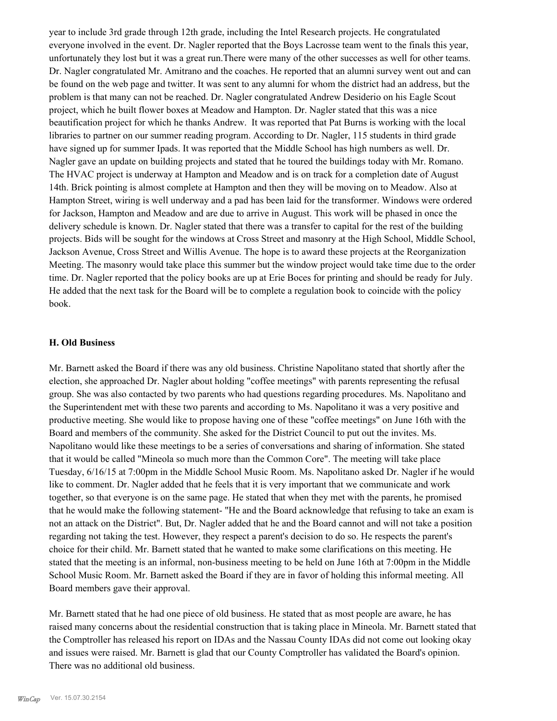year to include 3rd grade through 12th grade, including the Intel Research projects. He congratulated everyone involved in the event. Dr. Nagler reported that the Boys Lacrosse team went to the finals this year, unfortunately they lost but it was a great run.There were many of the other successes as well for other teams. Dr. Nagler congratulated Mr. Amitrano and the coaches. He reported that an alumni survey went out and can be found on the web page and twitter. It was sent to any alumni for whom the district had an address, but the problem is that many can not be reached. Dr. Nagler congratulated Andrew Desiderio on his Eagle Scout project, which he built flower boxes at Meadow and Hampton. Dr. Nagler stated that this was a nice beautification project for which he thanks Andrew. It was reported that Pat Burns is working with the local libraries to partner on our summer reading program. According to Dr. Nagler, 115 students in third grade have signed up for summer Ipads. It was reported that the Middle School has high numbers as well. Dr. Nagler gave an update on building projects and stated that he toured the buildings today with Mr. Romano. The HVAC project is underway at Hampton and Meadow and is on track for a completion date of August 14th. Brick pointing is almost complete at Hampton and then they will be moving on to Meadow. Also at Hampton Street, wiring is well underway and a pad has been laid for the transformer. Windows were ordered for Jackson, Hampton and Meadow and are due to arrive in August. This work will be phased in once the delivery schedule is known. Dr. Nagler stated that there was a transfer to capital for the rest of the building projects. Bids will be sought for the windows at Cross Street and masonry at the High School, Middle School, Jackson Avenue, Cross Street and Willis Avenue. The hope is to award these projects at the Reorganization Meeting. The masonry would take place this summer but the window project would take time due to the order time. Dr. Nagler reported that the policy books are up at Erie Boces for printing and should be ready for July. He added that the next task for the Board will be to complete a regulation book to coincide with the policy book.

#### **H. Old Business**

Mr. Barnett asked the Board if there was any old business. Christine Napolitano stated that shortly after the election, she approached Dr. Nagler about holding "coffee meetings" with parents representing the refusal group. She was also contacted by two parents who had questions regarding procedures. Ms. Napolitano and the Superintendent met with these two parents and according to Ms. Napolitano it was a very positive and productive meeting. She would like to propose having one of these "coffee meetings" on June 16th with the Board and members of the community. She asked for the District Council to put out the invites. Ms. Napolitano would like these meetings to be a series of conversations and sharing of information. She stated that it would be called "Mineola so much more than the Common Core". The meeting will take place Tuesday, 6/16/15 at 7:00pm in the Middle School Music Room. Ms. Napolitano asked Dr. Nagler if he would like to comment. Dr. Nagler added that he feels that it is very important that we communicate and work together, so that everyone is on the same page. He stated that when they met with the parents, he promised that he would make the following statement- "He and the Board acknowledge that refusing to take an exam is not an attack on the District". But, Dr. Nagler added that he and the Board cannot and will not take a position regarding not taking the test. However, they respect a parent's decision to do so. He respects the parent's choice for their child. Mr. Barnett stated that he wanted to make some clarifications on this meeting. He stated that the meeting is an informal, non-business meeting to be held on June 16th at 7:00pm in the Middle School Music Room. Mr. Barnett asked the Board if they are in favor of holding this informal meeting. All Board members gave their approval.

Mr. Barnett stated that he had one piece of old business. He stated that as most people are aware, he has raised many concerns about the residential construction that is taking place in Mineola. Mr. Barnett stated that the Comptroller has released his report on IDAs and the Nassau County IDAs did not come out looking okay and issues were raised. Mr. Barnett is glad that our County Comptroller has validated the Board's opinion. There was no additional old business.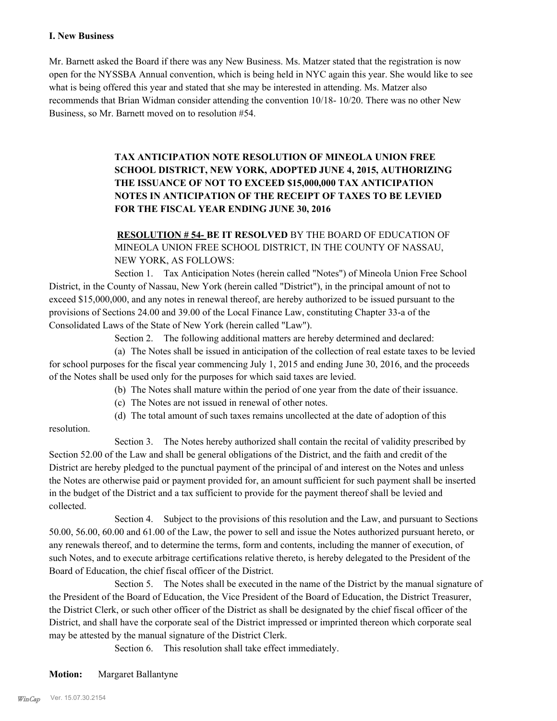#### **I. New Business**

Mr. Barnett asked the Board if there was any New Business. Ms. Matzer stated that the registration is now open for the NYSSBA Annual convention, which is being held in NYC again this year. She would like to see what is being offered this year and stated that she may be interested in attending. Ms. Matzer also recommends that Brian Widman consider attending the convention 10/18- 10/20. There was no other New Business, so Mr. Barnett moved on to resolution #54.

# **TAX ANTICIPATION NOTE RESOLUTION OF MINEOLA UNION FREE SCHOOL DISTRICT, NEW YORK, ADOPTED JUNE 4, 2015, AUTHORIZING THE ISSUANCE OF NOT TO EXCEED \$15,000,000 TAX ANTICIPATION NOTES IN ANTICIPATION OF THE RECEIPT OF TAXES TO BE LEVIED FOR THE FISCAL YEAR ENDING JUNE 30, 2016**

# **RESOLUTION # 54- BE IT RESOLVED** BY THE BOARD OF EDUCATION OF MINEOLA UNION FREE SCHOOL DISTRICT, IN THE COUNTY OF NASSAU, NEW YORK, AS FOLLOWS:

Section 1. Tax Anticipation Notes (herein called "Notes") of Mineola Union Free School District, in the County of Nassau, New York (herein called "District"), in the principal amount of not to exceed \$15,000,000, and any notes in renewal thereof, are hereby authorized to be issued pursuant to the provisions of Sections 24.00 and 39.00 of the Local Finance Law, constituting Chapter 33-a of the Consolidated Laws of the State of New York (herein called "Law").

Section 2. The following additional matters are hereby determined and declared:

(a) The Notes shall be issued in anticipation of the collection of real estate taxes to be levied for school purposes for the fiscal year commencing July 1, 2015 and ending June 30, 2016, and the proceeds of the Notes shall be used only for the purposes for which said taxes are levied.

- (b) The Notes shall mature within the period of one year from the date of their issuance.
- (c) The Notes are not issued in renewal of other notes.
- (d) The total amount of such taxes remains uncollected at the date of adoption of this

resolution.

Section 3. The Notes hereby authorized shall contain the recital of validity prescribed by Section 52.00 of the Law and shall be general obligations of the District, and the faith and credit of the District are hereby pledged to the punctual payment of the principal of and interest on the Notes and unless the Notes are otherwise paid or payment provided for, an amount sufficient for such payment shall be inserted in the budget of the District and a tax sufficient to provide for the payment thereof shall be levied and collected.

Section 4. Subject to the provisions of this resolution and the Law, and pursuant to Sections 50.00, 56.00, 60.00 and 61.00 of the Law, the power to sell and issue the Notes authorized pursuant hereto, or any renewals thereof, and to determine the terms, form and contents, including the manner of execution, of such Notes, and to execute arbitrage certifications relative thereto, is hereby delegated to the President of the Board of Education, the chief fiscal officer of the District.

Section 5. The Notes shall be executed in the name of the District by the manual signature of the President of the Board of Education, the Vice President of the Board of Education, the District Treasurer, the District Clerk, or such other officer of the District as shall be designated by the chief fiscal officer of the District, and shall have the corporate seal of the District impressed or imprinted thereon which corporate seal may be attested by the manual signature of the District Clerk.

Section 6. This resolution shall take effect immediately.

**Motion:** Margaret Ballantyne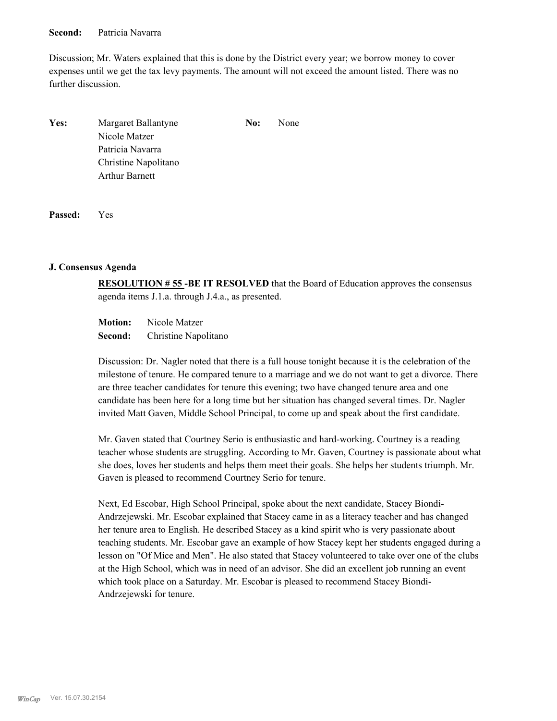#### **Second:** Patricia Navarra

Discussion; Mr. Waters explained that this is done by the District every year; we borrow money to cover expenses until we get the tax levy payments. The amount will not exceed the amount listed. There was no further discussion.

Yes: Margaret Ballantyne **No:** None Nicole Matzer Patricia Navarra Christine Napolitano Arthur Barnett

**Passed:** Yes

#### **J. Consensus Agenda**

**RESOLUTION # 55 -BE IT RESOLVED** that the Board of Education approves the consensus agenda items J.1.a. through J.4.a., as presented.

**Motion:** Nicole Matzer **Second:** Christine Napolitano

Discussion: Dr. Nagler noted that there is a full house tonight because it is the celebration of the milestone of tenure. He compared tenure to a marriage and we do not want to get a divorce. There are three teacher candidates for tenure this evening; two have changed tenure area and one candidate has been here for a long time but her situation has changed several times. Dr. Nagler invited Matt Gaven, Middle School Principal, to come up and speak about the first candidate.

Mr. Gaven stated that Courtney Serio is enthusiastic and hard-working. Courtney is a reading teacher whose students are struggling. According to Mr. Gaven, Courtney is passionate about what she does, loves her students and helps them meet their goals. She helps her students triumph. Mr. Gaven is pleased to recommend Courtney Serio for tenure.

Next, Ed Escobar, High School Principal, spoke about the next candidate, Stacey Biondi-Andrzejewski. Mr. Escobar explained that Stacey came in as a literacy teacher and has changed her tenure area to English. He described Stacey as a kind spirit who is very passionate about teaching students. Mr. Escobar gave an example of how Stacey kept her students engaged during a lesson on "Of Mice and Men". He also stated that Stacey volunteered to take over one of the clubs at the High School, which was in need of an advisor. She did an excellent job running an event which took place on a Saturday. Mr. Escobar is pleased to recommend Stacey Biondi-Andrzejewski for tenure.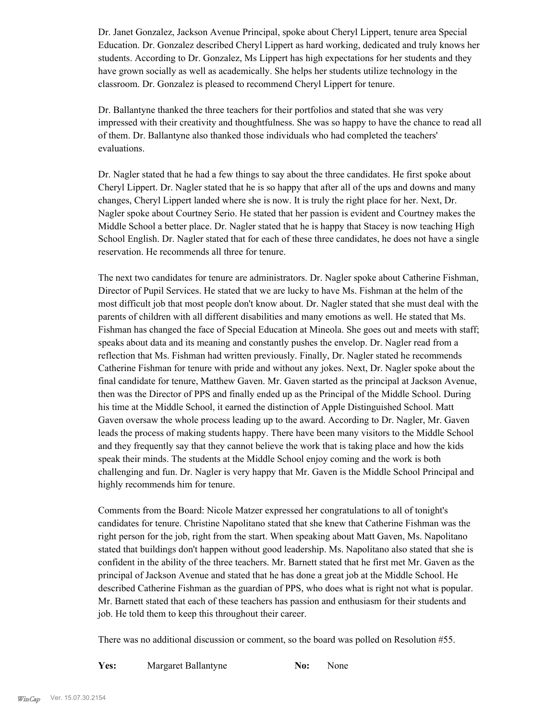Dr. Janet Gonzalez, Jackson Avenue Principal, spoke about Cheryl Lippert, tenure area Special Education. Dr. Gonzalez described Cheryl Lippert as hard working, dedicated and truly knows her students. According to Dr. Gonzalez, Ms Lippert has high expectations for her students and they have grown socially as well as academically. She helps her students utilize technology in the classroom. Dr. Gonzalez is pleased to recommend Cheryl Lippert for tenure.

Dr. Ballantyne thanked the three teachers for their portfolios and stated that she was very impressed with their creativity and thoughtfulness. She was so happy to have the chance to read all of them. Dr. Ballantyne also thanked those individuals who had completed the teachers' evaluations.

Dr. Nagler stated that he had a few things to say about the three candidates. He first spoke about Cheryl Lippert. Dr. Nagler stated that he is so happy that after all of the ups and downs and many changes, Cheryl Lippert landed where she is now. It is truly the right place for her. Next, Dr. Nagler spoke about Courtney Serio. He stated that her passion is evident and Courtney makes the Middle School a better place. Dr. Nagler stated that he is happy that Stacey is now teaching High School English. Dr. Nagler stated that for each of these three candidates, he does not have a single reservation. He recommends all three for tenure.

The next two candidates for tenure are administrators. Dr. Nagler spoke about Catherine Fishman, Director of Pupil Services. He stated that we are lucky to have Ms. Fishman at the helm of the most difficult job that most people don't know about. Dr. Nagler stated that she must deal with the parents of children with all different disabilities and many emotions as well. He stated that Ms. Fishman has changed the face of Special Education at Mineola. She goes out and meets with staff; speaks about data and its meaning and constantly pushes the envelop. Dr. Nagler read from a reflection that Ms. Fishman had written previously. Finally, Dr. Nagler stated he recommends Catherine Fishman for tenure with pride and without any jokes. Next, Dr. Nagler spoke about the final candidate for tenure, Matthew Gaven. Mr. Gaven started as the principal at Jackson Avenue, then was the Director of PPS and finally ended up as the Principal of the Middle School. During his time at the Middle School, it earned the distinction of Apple Distinguished School. Matt Gaven oversaw the whole process leading up to the award. According to Dr. Nagler, Mr. Gaven leads the process of making students happy. There have been many visitors to the Middle School and they frequently say that they cannot believe the work that is taking place and how the kids speak their minds. The students at the Middle School enjoy coming and the work is both challenging and fun. Dr. Nagler is very happy that Mr. Gaven is the Middle School Principal and highly recommends him for tenure.

Comments from the Board: Nicole Matzer expressed her congratulations to all of tonight's candidates for tenure. Christine Napolitano stated that she knew that Catherine Fishman was the right person for the job, right from the start. When speaking about Matt Gaven, Ms. Napolitano stated that buildings don't happen without good leadership. Ms. Napolitano also stated that she is confident in the ability of the three teachers. Mr. Barnett stated that he first met Mr. Gaven as the principal of Jackson Avenue and stated that he has done a great job at the Middle School. He described Catherine Fishman as the guardian of PPS, who does what is right not what is popular. Mr. Barnett stated that each of these teachers has passion and enthusiasm for their students and job. He told them to keep this throughout their career.

There was no additional discussion or comment, so the board was polled on Resolution #55.

Yes: Margaret Ballantyne **No:** None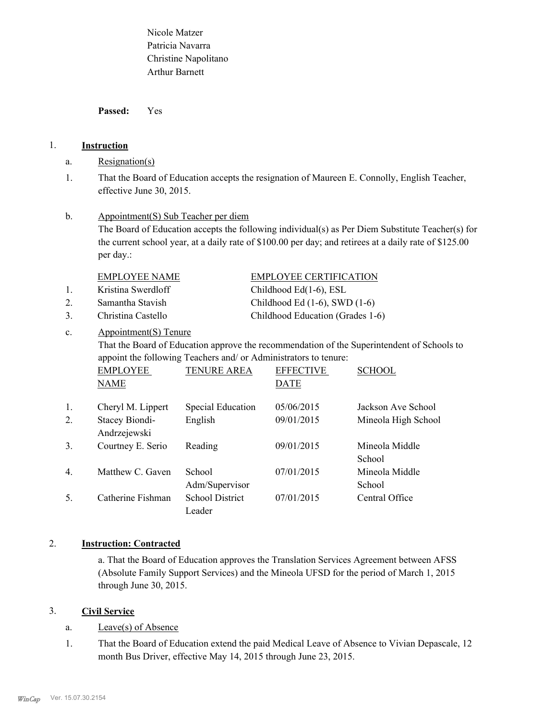Nicole Matzer Patricia Navarra Christine Napolitano Arthur Barnett

**Passed:** Yes

#### 1. **Instruction**

- a. Resignation(s)
- That the Board of Education accepts the resignation of Maureen E. Connolly, English Teacher, effective June 30, 2015. 1.

#### Appointment(S) Sub Teacher per diem b.

The Board of Education accepts the following individual(s) as Per Diem Substitute Teacher(s) for the current school year, at a daily rate of \$100.00 per day; and retirees at a daily rate of \$125.00 per day.:

| <b>EMPLOYEE NAME</b> | <b>EMPLOYEE CERTIFICATION</b> |
|----------------------|-------------------------------|
| Kristina Swerdloff   | Childhood Ed $(1-6)$ , ESL    |

- 2. Samantha Stavish Childhood Ed (1-6), SWD (1-6)
- 3. Christina Castello Childhood Education (Grades 1-6)

#### Appointment(S) Tenure c.

That the Board of Education approve the recommendation of the Superintendent of Schools to appoint the following Teachers and/ or Administrators to tenure:

|                  | <b>EMPLOYEE</b><br><b>NAME</b> | <b>TENURE AREA</b>               | <b>EFFECTIVE</b><br><b>DATE</b> | <b>SCHOOL</b>            |
|------------------|--------------------------------|----------------------------------|---------------------------------|--------------------------|
|                  |                                |                                  |                                 |                          |
| 1.               | Cheryl M. Lippert              | Special Education                | 05/06/2015                      | Jackson Ave School       |
| 2.               | Stacey Biondi-<br>Andrzejewski | English                          | 09/01/2015                      | Mineola High School      |
| 3.               | Courtney E. Serio              | Reading                          | 09/01/2015                      | Mineola Middle<br>School |
| $\overline{4}$ . | Matthew C. Gaven               | School<br>Adm/Supervisor         | 07/01/2015                      | Mineola Middle<br>School |
| 5.               | Catherine Fishman              | <b>School District</b><br>Leader | 07/01/2015                      | Central Office           |

#### 2. **Instruction: Contracted**

a. That the Board of Education approves the Translation Services Agreement between AFSS (Absolute Family Support Services) and the Mineola UFSD for the period of March 1, 2015 through June 30, 2015.

## 3. **Civil Service**

- a. Leave(s) of Absence
- That the Board of Education extend the paid Medical Leave of Absence to Vivian Depascale, 12 month Bus Driver, effective May 14, 2015 through June 23, 2015. 1.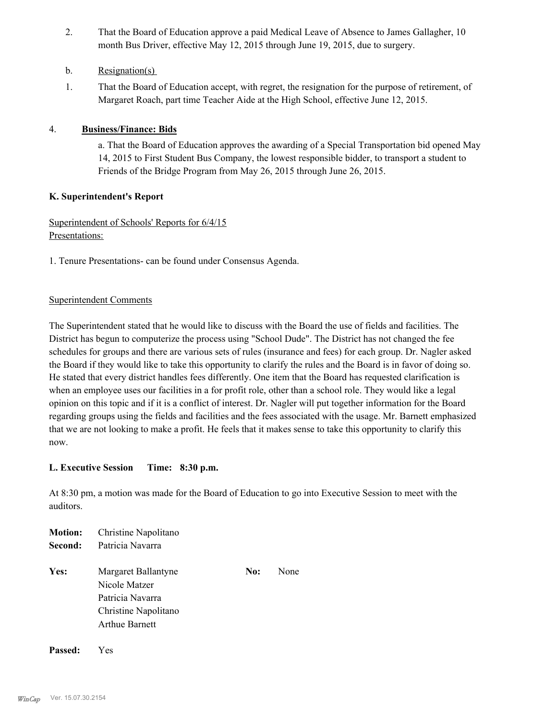That the Board of Education approve a paid Medical Leave of Absence to James Gallagher, 10 month Bus Driver, effective May 12, 2015 through June 19, 2015, due to surgery. 2.

### b. Resignation(s)

That the Board of Education accept, with regret, the resignation for the purpose of retirement, of Margaret Roach, part time Teacher Aide at the High School, effective June 12, 2015. 1.

### 4. **Business/Finance: Bids**

a. That the Board of Education approves the awarding of a Special Transportation bid opened May 14, 2015 to First Student Bus Company, the lowest responsible bidder, to transport a student to Friends of the Bridge Program from May 26, 2015 through June 26, 2015.

## **K. Superintendent's Report**

Superintendent of Schools' Reports for 6/4/15 Presentations:

1. Tenure Presentations- can be found under Consensus Agenda.

#### Superintendent Comments

The Superintendent stated that he would like to discuss with the Board the use of fields and facilities. The District has begun to computerize the process using "School Dude". The District has not changed the fee schedules for groups and there are various sets of rules (insurance and fees) for each group. Dr. Nagler asked the Board if they would like to take this opportunity to clarify the rules and the Board is in favor of doing so. He stated that every district handles fees differently. One item that the Board has requested clarification is when an employee uses our facilities in a for profit role, other than a school role. They would like a legal opinion on this topic and if it is a conflict of interest. Dr. Nagler will put together information for the Board regarding groups using the fields and facilities and the fees associated with the usage. Mr. Barnett emphasized that we are not looking to make a profit. He feels that it makes sense to take this opportunity to clarify this now.

# **L. Executive Session Time: 8:30 p.m.**

At 8:30 pm, a motion was made for the Board of Education to go into Executive Session to meet with the auditors.

| <b>Motion:</b><br>Second: | Christine Napolitano<br>Patricia Navarra                                                                  |     |      |
|---------------------------|-----------------------------------------------------------------------------------------------------------|-----|------|
| Yes:                      | Margaret Ballantyne<br>Nicole Matzer<br>Patricia Navarra<br>Christine Napolitano<br><b>Arthue Barnett</b> | No: | None |

#### **Passed:** Yes